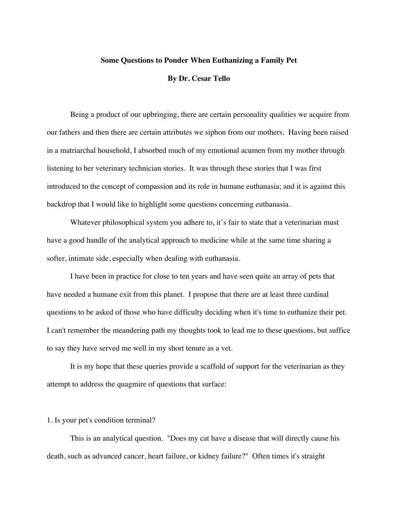### **Some Questions to Ponder When Euthanizing a Family Pet**

### **By Dr. Cesar Tello**

Being a product of our upbringing, there are certain personality qualities we acquire from our fathers and then there are certain attributes we siphon from our mothers. Having been raised in a matriarchal household, I absorbed much of my emotional acumen from my mother through listening to her veterinary technician stories. It was through these stories that I was first introduced to the concept of compassion and its role in humane euthanasia; and it is against this backdrop that I would like to highlight some questions concerning euthanasia.

Whatever philosophical system you adhere to, it's fair to state that a veterinarian must have a good handle of the analytical approach to medicine while at the same time sharing a softer, intimate side, especially when dealing with euthanasia.

I have been in practice for close to ten years and have seen quite an array of pets that have needed a humane exit from this planet. I propose that there are at least three cardinal questions to be asked of those who have difficulty deciding when it's time to euthanize their pet. I can't remember the meandering path my thoughts took to lead me to these questions, but suffice to say they have served me well in my short tenure as a vet.

It is my hope that these queries provide a scaffold of support for the veterinarian as they attempt to address the quagmire of questions that surface:

#### 1. Is your pet's condition terminal?

This is an analytical question. "Does my cat have a disease that will directly cause his death, such as advanced cancer, heart failure, or kidney failure?" Often times it's straight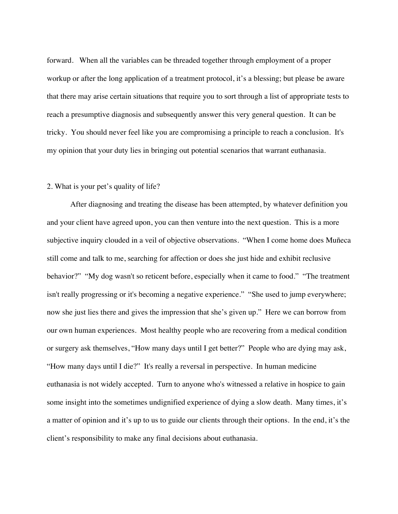forward. When all the variables can be threaded together through employment of a proper workup or after the long application of a treatment protocol, it's a blessing; but please be aware that there may arise certain situations that require you to sort through a list of appropriate tests to reach a presumptive diagnosis and subsequently answer this very general question. It can be tricky. You should never feel like you are compromising a principle to reach a conclusion. It's my opinion that your duty lies in bringing out potential scenarios that warrant euthanasia.

# 2. What is your pet's quality of life?

After diagnosing and treating the disease has been attempted, by whatever definition you and your client have agreed upon, you can then venture into the next question. This is a more subjective inquiry clouded in a veil of objective observations. "When I come home does Muñeca still come and talk to me, searching for affection or does she just hide and exhibit reclusive behavior?" "My dog wasn't so reticent before, especially when it came to food." "The treatment isn't really progressing or it's becoming a negative experience." "She used to jump everywhere; now she just lies there and gives the impression that she's given up." Here we can borrow from our own human experiences. Most healthy people who are recovering from a medical condition or surgery ask themselves, "How many days until I get better?" People who are dying may ask, "How many days until I die?" It's really a reversal in perspective. In human medicine euthanasia is not widely accepted. Turn to anyone who's witnessed a relative in hospice to gain some insight into the sometimes undignified experience of dying a slow death. Many times, it's a matter of opinion and it's up to us to guide our clients through their options. In the end, it's the client's responsibility to make any final decisions about euthanasia.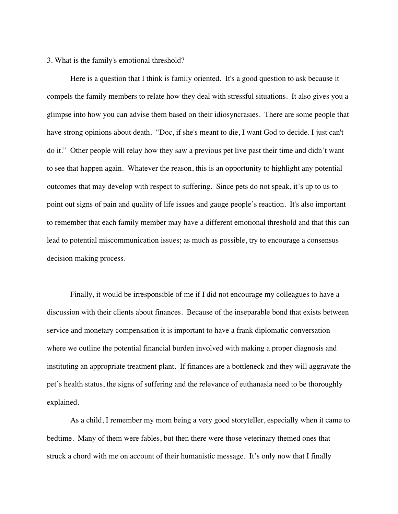# 3. What is the family's emotional threshold?

Here is a question that I think is family oriented. It's a good question to ask because it compels the family members to relate how they deal with stressful situations. It also gives you a glimpse into how you can advise them based on their idiosyncrasies. There are some people that have strong opinions about death. "Doc, if she's meant to die, I want God to decide. I just can't do it." Other people will relay how they saw a previous pet live past their time and didn't want to see that happen again. Whatever the reason, this is an opportunity to highlight any potential outcomes that may develop with respect to suffering. Since pets do not speak, it's up to us to point out signs of pain and quality of life issues and gauge people's reaction. It's also important to remember that each family member may have a different emotional threshold and that this can lead to potential miscommunication issues; as much as possible, try to encourage a consensus decision making process.

Finally, it would be irresponsible of me if I did not encourage my colleagues to have a discussion with their clients about finances. Because of the inseparable bond that exists between service and monetary compensation it is important to have a frank diplomatic conversation where we outline the potential financial burden involved with making a proper diagnosis and instituting an appropriate treatment plant. If finances are a bottleneck and they will aggravate the pet's health status, the signs of suffering and the relevance of euthanasia need to be thoroughly explained.

As a child, I remember my mom being a very good storyteller, especially when it came to bedtime. Many of them were fables, but then there were those veterinary themed ones that struck a chord with me on account of their humanistic message. It's only now that I finally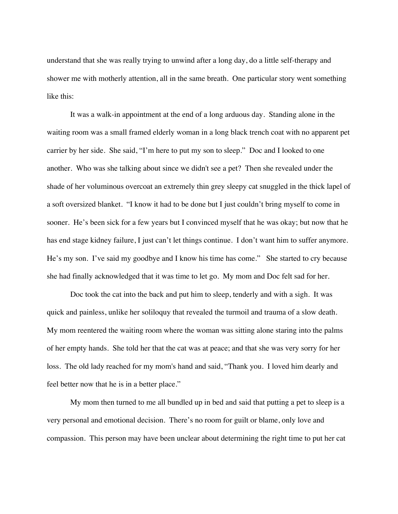understand that she was really trying to unwind after a long day, do a little self-therapy and shower me with motherly attention, all in the same breath. One particular story went something like this:

It was a walk-in appointment at the end of a long arduous day. Standing alone in the waiting room was a small framed elderly woman in a long black trench coat with no apparent pet carrier by her side. She said, "I'm here to put my son to sleep." Doc and I looked to one another. Who was she talking about since we didn't see a pet? Then she revealed under the shade of her voluminous overcoat an extremely thin grey sleepy cat snuggled in the thick lapel of a soft oversized blanket. "I know it had to be done but I just couldn't bring myself to come in sooner. He's been sick for a few years but I convinced myself that he was okay; but now that he has end stage kidney failure, I just can't let things continue. I don't want him to suffer anymore. He's my son. I've said my goodbye and I know his time has come." She started to cry because she had finally acknowledged that it was time to let go. My mom and Doc felt sad for her.

Doc took the cat into the back and put him to sleep, tenderly and with a sigh. It was quick and painless, unlike her soliloquy that revealed the turmoil and trauma of a slow death. My mom reentered the waiting room where the woman was sitting alone staring into the palms of her empty hands. She told her that the cat was at peace; and that she was very sorry for her loss. The old lady reached for my mom's hand and said, "Thank you. I loved him dearly and feel better now that he is in a better place."

My mom then turned to me all bundled up in bed and said that putting a pet to sleep is a very personal and emotional decision. There's no room for guilt or blame, only love and compassion. This person may have been unclear about determining the right time to put her cat